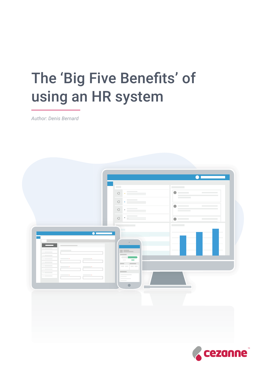# The 'Big Five Benefits' of using an HR system

*Author: Denis Bernard*



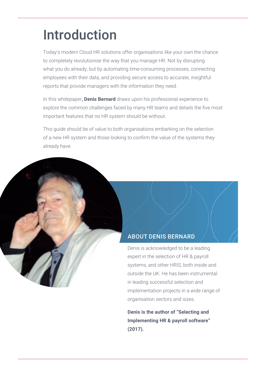## Introduction

Today's modern Cloud HR solutions offer organisations like your own the chance to completely revolutionise the way that you manage HR. Not by disrupting what you do already, but by automating time-consuming processes, connecting employees with their data, and providing secure access to accurate, insightful reports that provide managers with the information they need.

In this whitepaper, **Denis Bernard** draws upon his professional experience to explore the common challenges faced by many HR teams and details the five most important features that no HR system should be without.

This guide should be of value to both organisations embarking on the selection of a new HR system and those looking to confirm the value of the systems they already have.

#### ABOUT DENIS BERNARD

Denis is acknowledged to be a leading expert in the selection of HR & payroll systems, and other HRIS, both inside and outside the UK. He has been instrumental in leading successful selection and implementation projects in a wide range of organisation sectors and sizes.

**Denis is the author of "Selecting and Implementing HR & payroll software" (2017).**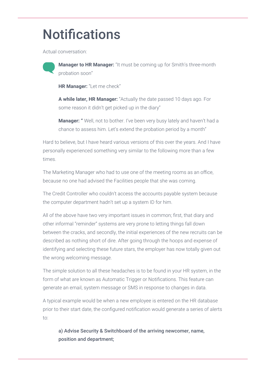## Notifications

Actual conversation:



**Manager to HR Manager:** "It must be coming up for Smith's three-month probation soon"

**HR Manager:** "Let me check"

**A while later, HR Manager:** "Actually the date passed 10 days ago. For some reason it didn't get picked up in the diary"

**Manager: "** Well, not to bother. I've been very busy lately and haven't had a chance to assess him. Let's extend the probation period by a month"

Hard to believe, but I have heard various versions of this over the years. And I have personally experienced something very similar to the following more than a few times.

The Marketing Manager who had to use one of the meeting rooms as an office, because no one had advised the Facilities people that she was coming.

The Credit Controller who couldn't access the accounts payable system because the computer department hadn't set up a system ID for him.

All of the above have two very important issues in common; first, that diary and other informal "reminder" systems are very prone to letting things fall down between the cracks, and secondly, the initial experiences of the new recruits can be described as nothing short of dire. After going through the hoops and expense of identifying and selecting these future stars, the employer has now totally given out the wrong welcoming message.

The simple solution to all these headaches is to be found in your HR system, in the form of what are known as Automatic Trigger or Notifications. This feature can generate an email, system message or SMS in response to changes in data.

A typical example would be when a new employee is entered on the HR database prior to their start date, the configured notification would generate a series of alerts to:

a) Advise Security & Switchboard of the arriving newcomer, name, position and department;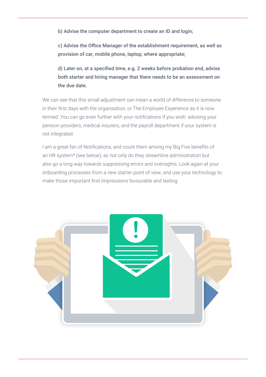b) Advise the computer department to create an ID and login;

c) Advise the Office Manager of the establishment requirement, as well as provision of car, mobile phone, laptop, where appropriate;

d) Later on, at a specified time, e.g. 2 weeks before probation end, advise both starter and hiring manager that there needs to be an assessment on the due date.

We can see that this small adjustment can mean a world of difference to someone in their first days with the organisation, or The Employee Experience as it is now termed. You can go even further with your notifications if you wish: advising your pension providers, medical insurers, and the payroll department if your system is not integrated.

I am a great fan of Notifications, and count them among my Big Five benefits of an HR system\* (see below), as not only do they streamline administration but also go a long way towards suppressing errors and oversights. Look again at your onboarding processes from a new starter point of view, and use your technology to make those important first Impressions favourable and lasting.

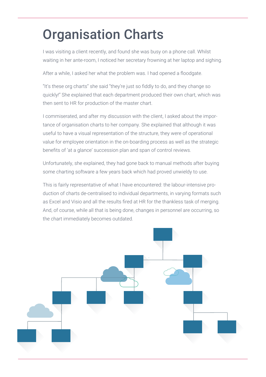## Organisation Charts

I was visiting a client recently, and found she was busy on a phone call. Whilst waiting in her ante-room, I noticed her secretary frowning at her laptop and sighing.

After a while, I asked her what the problem was. I had opened a floodgate.

"It's these org charts" she said "they're just so fiddly to do, and they change so quickly!" She explained that each department produced their own chart, which was then sent to HR for production of the master chart.

I commiserated, and after my discussion with the client, I asked about the importance of organisation charts to her company. She explained that although it was useful to have a visual representation of the structure, they were of operational value for employee orientation in the on-boarding process as well as the strategic benefits of 'at a glance' succession plan and span of control reviews.

Unfortunately, she explained, they had gone back to manual methods after buying some charting software a few years back which had proved unwieldy to use.

This is fairly representative of what I have encountered: the labour-intensive production of charts de-centralised to individual departments, in varying formats such as Excel and Visio and all the results fired at HR for the thankless task of merging. And, of course, while all that is being done, changes in personnel are occurring, so the chart immediately becomes outdated.

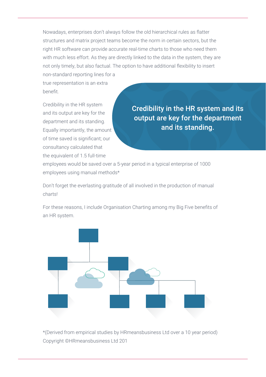Nowadays, enterprises don't always follow the old hierarchical rules as flatter structures and matrix project teams become the norm in certain sectors, but the right HR software can provide accurate real-time charts to those who need them with much less effort. As they are directly linked to the data in the system, they are not only timely, but also factual. The option to have additional flexibility to insert non-standard reporting lines for a

true representation is an extra benefit.

Credibility in the HR system and its output are key for the department and its standing. Equally importantly, the amount of time saved is significant; our consultancy calculated that the equivalent of 1.5 full-time

Credibility in the HR system and its output are key for the department and its standing.

employees would be saved over a 5-year period in a typical enterprise of 1000 employees using manual methods\*

Don't forget the everlasting gratitude of all involved in the production of manual charts!

For these reasons, I include Organisation Charting among my Big Five benefits of an HR system.



\*(Derived from empirical studies by HRmeansbusiness Ltd over a 10 year period) Copyright ©HRmeansbusiness Ltd 201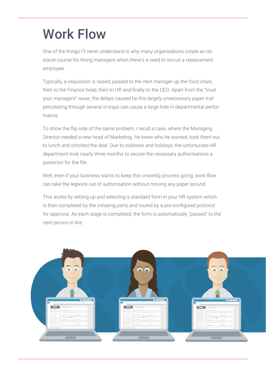## Work Flow

One of the things I'll never understand is why many organisations create an obstacle course for hiring managers when there's a need to recruit a replacement employee.

Typically, a requisition is raised, passed to the next manager up the food chain, then to the Finance head, then to HR and finally to the CEO. Apart from the "trust your managers" issue, the delays caused by this largely unnecessary paper trail percolating through several in-trays can cause a large hole in departmental performance.

To show the flip side of the same problem, I recall a case, where the Managing Director needed a new head of Marketing. He knew who he wanted, took them out to lunch and clinched the deal. Due to sickness and holidays, the unfortunate HR department took nearly three months to secure the necessary authorisations a posteriori for the file.

Well, even if your business wants to keep this unwieldy process going, work flow can take the legwork out of authorisation without moving any paper around.

This works by setting up and selecting a standard form in your HR system which is then completed by the initiating party and routed by a pre-configured protocol for approval. As each stage is completed, the form is automatically "passed" to the next person in line.

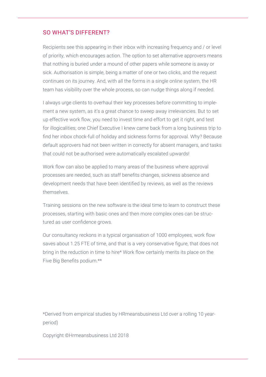#### SO WHAT'S DIFFERENT?

Recipients see this appearing in their inbox with increasing frequency and / or level of priority, which encourages action. The option to set alternative approvers means that nothing is buried under a mound of other papers while someone is away or sick. Authorisation is simple, being a matter of one or two clicks, and the request continues on its journey. And, with all the forms in a single online system, the HR team has visibility over the whole process, so can nudge things along if needed.

I always urge clients to overhaul their key processes before committing to implement a new system, as it's a great chance to sweep away irrelevancies. But to set up effective work flow, you need to invest time and effort to get it right, and test for illogicalities; one Chief Executive I knew came back from a long business trip to find her inbox chock-full of holiday and sickness forms for approval. Why? Because default approvers had not been written in correctly for absent managers, and tasks that could not be authorised were automatically escalated upwards!

Work flow can also be applied to many areas of the business where approval processes are needed, such as staff benefits changes, sickness absence and development needs that have been identified by reviews, as well as the reviews themselves.

Training sessions on the new software is the ideal time to learn to construct these processes, starting with basic ones and then more complex ones can be structured as user confidence grows.

Our consultancy reckons in a typical organisation of 1000 employees, work flow saves about 1.25 FTE of time, and that is a very conservative figure, that does not bring in the reduction in time to hire\* Work flow certainly merits its place on the Five Big Benefits podium.\*\*

\*Derived from empirical studies by HRmeansbusiness Ltd over a rolling 10 yearperiod)

Copyright ©Hrmeansbusiness Ltd 2018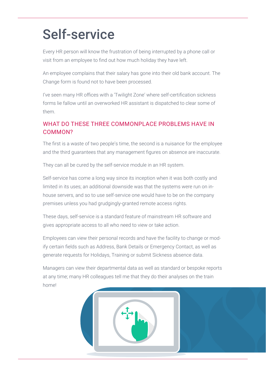## Self-service

Every HR person will know the frustration of being interrupted by a phone call or visit from an employee to find out how much holiday they have left.

An employee complains that their salary has gone into their old bank account. The Change form is found not to have been processed.

I've seen many HR offices with a 'Twilight Zone' where self-certification sickness forms lie fallow until an overworked HR assistant is dispatched to clear some of them.

#### WHAT DO THESE THREE COMMONPLACE PROBLEMS HAVE IN COMMON?

The first is a waste of two people's time, the second is a nuisance for the employee and the third guarantees that any management figures on absence are inaccurate.

They can all be cured by the self-service module in an HR system.

Self-service has come a long way since its inception when it was both costly and limited in its uses; an additional downside was that the systems were run on inhouse servers, and so to use self-service one would have to be on the company premises unless you had grudgingly-granted remote access rights.

These days, self-service is a standard feature of mainstream HR software and gives appropriate access to all who need to view or take action.

Employees can view their personal records and have the facility to change or modify certain fields such as Address, Bank Details or Emergency Contact, as well as generate requests for Holidays, Training or submit Sickness absence data.

Managers can view their departmental data as well as standard or bespoke reports at any time; many HR colleagues tell me that they do their analyses on the train home!

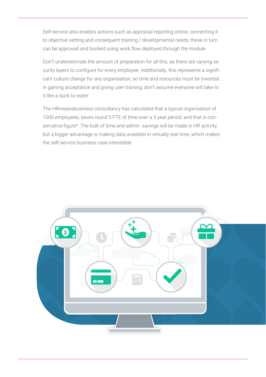Self-service also enables actions such as appraisal reporting online, connecting it to objective setting and consequent training / developmental needs; these in turn can be approved and booked using work flow deployed through the module.

Don't underestimate the amount of preparation for all this, as there are varying security layers to configure for every employee. Additionally, this represents a significant culture change for any organisation, so time and resources must be invested in gaining acceptance and giving user training; don't assume everyone will take to it like a duck to water.

The HRmeansbusiness consultancy has calculated that a typical organisation of 1000 employees, saves round 5 FTE of time over a 5 year period, and that is conservative figure\*. The bulk of time and admin. savings will be made in HR activity, but a bigger advantage is making data available in virtually real time, which makes the self-service business case irresistible.

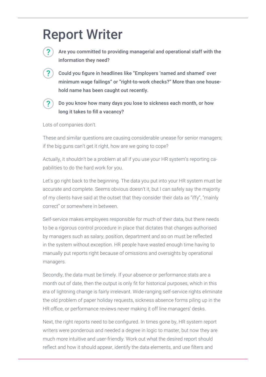### Report Writer



Are you committed to providing managerial and operational staff with the information they need?

Could you figure in headlines like "Employers 'named and shamed' over minimum wage failings" or "right-to-work checks?" More than one household name has been caught out recently.



Do you know how many days you lose to sickness each month, or how long it takes to fill a vacancy?

Lots of companies don't.

These and similar questions are causing considerable unease for senior managers; if the big guns can't get it right, how are we going to cope?

Actually, it shouldn't be a problem at all if you use your HR system's reporting capabilities to do the hard work for you.

Let's go right back to the beginning. The data you put into your HR system must be accurate and complete. Seems obvious doesn't it, but I can safely say the majority of my clients have said at the outset that they consider their data as "iffy", "mainly correct" or somewhere in between.

Self-service makes employees responsible for much of their data, but there needs to be a rigorous control procedure in place that dictates that changes authorised by managers such as salary, position, department and so on must be reflected in the system without exception. HR people have wasted enough time having to manually put reports right because of omissions and oversights by operational managers.

Secondly, the data must be timely. If your absence or performance stats are a month out of date, then the output is only fit for historical purposes, which in this era of lightning change is fairly irrelevant. Wide-ranging self-service rights eliminate the old problem of paper holiday requests, sickness absence forms piling up in the HR office, or performance reviews never making it off line managers' desks.

Next, the right reports need to be configured. In times gone by, HR system report writers were ponderous and needed a degree in logic to master, but now they are much more intuitive and user-friendly. Work out what the desired report should reflect and how it should appear, identify the data elements, and use filters and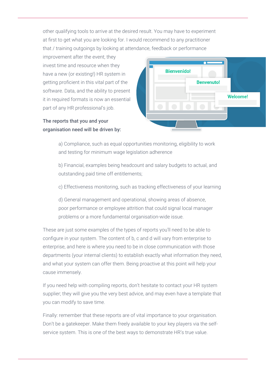other qualifying tools to arrive at the desired result. You may have to experiment at first to get what you are looking for. I would recommend to any practitioner that / training outgoings by looking at attendance, feedback or performance

improvement after the event; they invest time and resource when they have a new (or existing!) HR system in getting proficient in this vital part of the software. Data, and the ability to present it in required formats is now an essential part of any HR professional's job.

The reports that you and your organisation need will be driven by:



a) Compliance, such as equal opportunities monitoring, eligibility to work and testing for minimum wage legislation adherence

b) Financial, examples being headcount and salary budgets to actual, and outstanding paid time off entitlements;

c) Effectiveness monitoring, such as tracking effectiveness of your learning

d) General management and operational, showing areas of absence, poor performance or employee attrition that could signal local manager problems or a more fundamental organisation-wide issue.

These are just some examples of the types of reports you'll need to be able to configure in your system. The content of b, c and d will vary from enterprise to enterprise, and here is where you need to be in close communication with those departments (your internal clients) to establish exactly what information they need, and what your system can offer them. Being proactive at this point will help your cause immensely.

If you need help with compiling reports, don't hesitate to contact your HR system supplier; they will give you the very best advice, and may even have a template that you can modify to save time.

Finally: remember that these reports are of vital importance to your organisation. Don't be a gatekeeper. Make them freely available to your key players via the selfservice system. This is one of the best ways to demonstrate HR's true value.